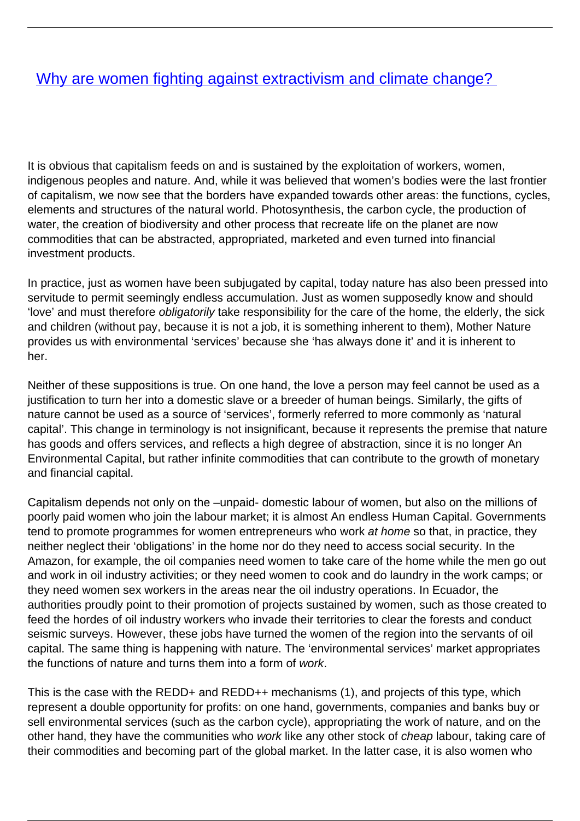## [Why are women fighting against extractivism and climate change?](/bulletin-articles/why-are-women-fighting-against-extractivism-and-climate-change)

It is obvious that capitalism feeds on and is sustained by the exploitation of workers, women, indigenous peoples and nature. And, while it was believed that women's bodies were the last frontier of capitalism, we now see that the borders have expanded towards other areas: the functions, cycles, elements and structures of the natural world. Photosynthesis, the carbon cycle, the production of water, the creation of biodiversity and other process that recreate life on the planet are now commodities that can be abstracted, appropriated, marketed and even turned into financial investment products.

In practice, just as women have been subjugated by capital, today nature has also been pressed into servitude to permit seemingly endless accumulation. Just as women supposedly know and should 'love' and must therefore obligatorily take responsibility for the care of the home, the elderly, the sick and children (without pay, because it is not a job, it is something inherent to them), Mother Nature provides us with environmental 'services' because she 'has always done it' and it is inherent to her.

Neither of these suppositions is true. On one hand, the love a person may feel cannot be used as a justification to turn her into a domestic slave or a breeder of human beings. Similarly, the gifts of nature cannot be used as a source of 'services', formerly referred to more commonly as 'natural capital'. This change in terminology is not insignificant, because it represents the premise that nature has goods and offers services, and reflects a high degree of abstraction, since it is no longer An Environmental Capital, but rather infinite commodities that can contribute to the growth of monetary and financial capital.

Capitalism depends not only on the –unpaid- domestic labour of women, but also on the millions of poorly paid women who join the labour market; it is almost An endless Human Capital. Governments tend to promote programmes for women entrepreneurs who work at home so that, in practice, they neither neglect their 'obligations' in the home nor do they need to access social security. In the Amazon, for example, the oil companies need women to take care of the home while the men go out and work in oil industry activities; or they need women to cook and do laundry in the work camps; or they need women sex workers in the areas near the oil industry operations. In Ecuador, the authorities proudly point to their promotion of projects sustained by women, such as those created to feed the hordes of oil industry workers who invade their territories to clear the forests and conduct seismic surveys. However, these jobs have turned the women of the region into the servants of oil capital. The same thing is happening with nature. The 'environmental services' market appropriates the functions of nature and turns them into a form of work.

This is the case with the REDD+ and REDD++ mechanisms (1), and projects of this type, which represent a double opportunity for profits: on one hand, governments, companies and banks buy or sell environmental services (such as the carbon cycle), appropriating the work of nature, and on the other hand, they have the communities who work like any other stock of cheap labour, taking care of their commodities and becoming part of the global market. In the latter case, it is also women who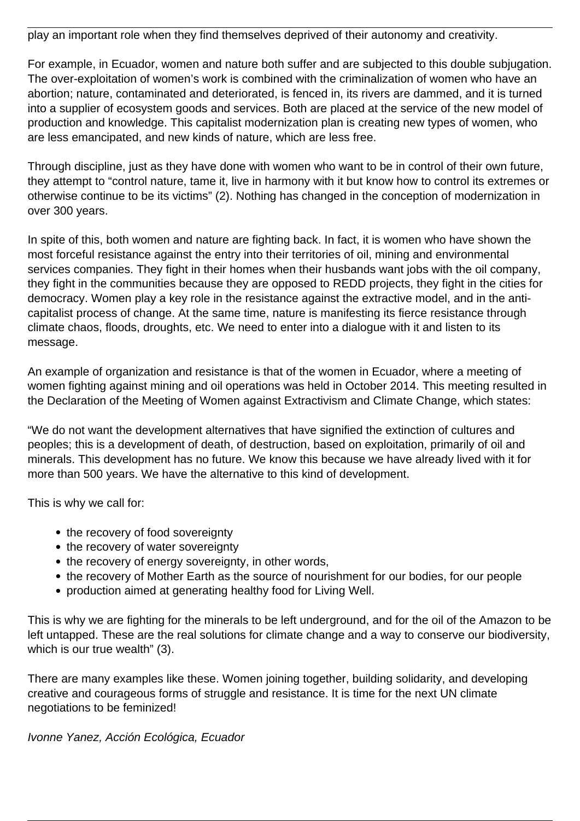play an important role when they find themselves deprived of their autonomy and creativity.

For example, in Ecuador, women and nature both suffer and are subjected to this double subjugation. The over-exploitation of women's work is combined with the criminalization of women who have an abortion; nature, contaminated and deteriorated, is fenced in, its rivers are dammed, and it is turned into a supplier of ecosystem goods and services. Both are placed at the service of the new model of production and knowledge. This capitalist modernization plan is creating new types of women, who are less emancipated, and new kinds of nature, which are less free.

Through discipline, just as they have done with women who want to be in control of their own future, they attempt to "control nature, tame it, live in harmony with it but know how to control its extremes or otherwise continue to be its victims" (2). Nothing has changed in the conception of modernization in over 300 years.

In spite of this, both women and nature are fighting back. In fact, it is women who have shown the most forceful resistance against the entry into their territories of oil, mining and environmental services companies. They fight in their homes when their husbands want jobs with the oil company, they fight in the communities because they are opposed to REDD projects, they fight in the cities for democracy. Women play a key role in the resistance against the extractive model, and in the anticapitalist process of change. At the same time, nature is manifesting its fierce resistance through climate chaos, floods, droughts, etc. We need to enter into a dialogue with it and listen to its message.

An example of organization and resistance is that of the women in Ecuador, where a meeting of women fighting against mining and oil operations was held in October 2014. This meeting resulted in the Declaration of the Meeting of Women against Extractivism and Climate Change, which states:

"We do not want the development alternatives that have signified the extinction of cultures and peoples; this is a development of death, of destruction, based on exploitation, primarily of oil and minerals. This development has no future. We know this because we have already lived with it for more than 500 years. We have the alternative to this kind of development.

This is why we call for:

- the recovery of food sovereignty
- the recovery of water sovereignty
- the recovery of energy sovereignty, in other words,
- the recovery of Mother Earth as the source of nourishment for our bodies, for our people
- production aimed at generating healthy food for Living Well.

This is why we are fighting for the minerals to be left underground, and for the oil of the Amazon to be left untapped. These are the real solutions for climate change and a way to conserve our biodiversity, which is our true wealth" (3).

There are many examples like these. Women joining together, building solidarity, and developing creative and courageous forms of struggle and resistance. It is time for the next UN climate negotiations to be feminized!

Ivonne Yanez, Acción Ecológica, Ecuador